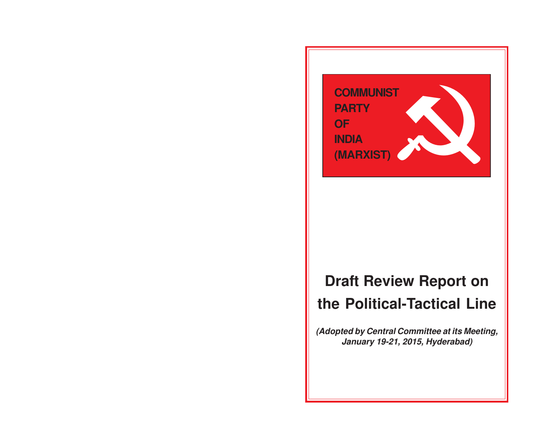

# **Draft Review Report on the Political-Tactical Line**

**(Adopted by Central Committee at its Meeting, January 19-21, 2015, Hyderabad)**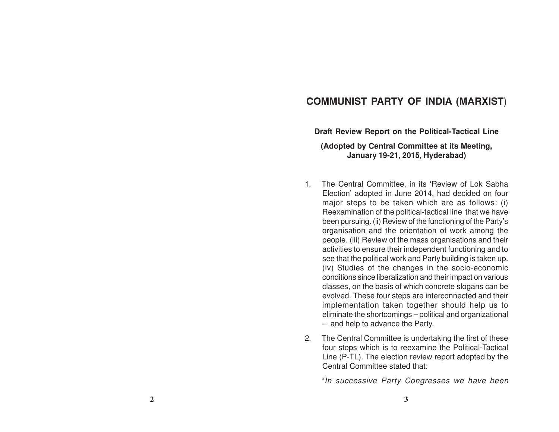# **COMMUNIST PARTY OF INDIA (MARXIST**)

**Draft Review Report on the Political-Tactical Line**

**(Adopted by Central Committee at its Meeting, January 19-21, 2015, Hyderabad)**

- 1. The Central Committee, in its 'Review of Lok Sabha Election' adopted in June 2014, had decided on four major steps to be taken which are as follows: (i) Reexamination of the political-tactical line that we have been pursuing. (ii) Review of the functioning of the Party's organisation and the orientation of work among the people. (iii) Review of the mass organisations and their activities to ensure their independent functioning and to see that the political work and Party building is taken up. (iv) Studies of the changes in the socio-economic conditions since liberalization and their impact on various classes, on the basis of which concrete slogans can be evolved. These four steps are interconnected and their implementation taken together should help us to eliminate the shortcomings – political and organizational – and help to advance the Party.
- 2. The Central Committee is undertaking the first of these four steps which is to reexamine the Political-Tactical Line (P-TL). The election review report adopted by the Central Committee stated that:

"In successive Party Congresses we have been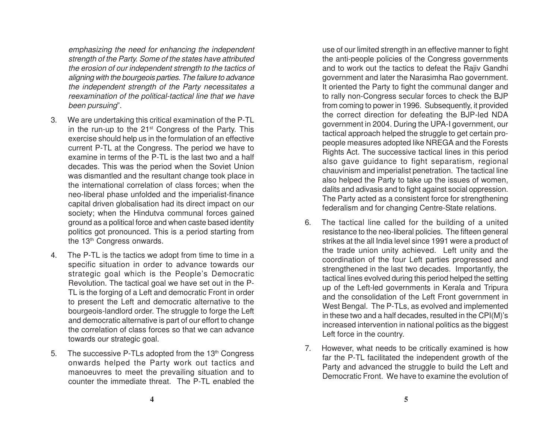emphasizing the need for enhancing the independent strength of the Party. Some of the states have attributed the erosion of our independent strength to the tactics of aligning with the bourgeois parties. The failure to advance the independent strength of the Party necessitates a reexamination of the political-tactical line that we have been pursuing".

- 3. We are undertaking this critical examination of the P-TL in the run-up to the 21st Congress of the Party. This exercise should help us in the formulation of an effective current P-TL at the Congress. The period we have to examine in terms of the P-TL is the last two and a half decades. This was the period when the Soviet Union was dismantled and the resultant change took place in the international correlation of class forces; when the neo-liberal phase unfolded and the imperialist-finance capital driven globalisation had its direct impact on our society; when the Hindutva communal forces gained ground as a political force and when caste based identity politics got pronounced. This is a period starting from the 13<sup>th</sup> Congress onwards.
- 4. The P-TL is the tactics we adopt from time to time in a specific situation in order to advance towards our strategic goal which is the People's Democratic Revolution. The tactical goal we have set out in the P-TL is the forging of a Left and democratic Front in order to present the Left and democratic alternative to the bourgeois-landlord order. The struggle to forge the Left and democratic alternative is part of our effort to change the correlation of class forces so that we can advance towards our strategic goal.
- 5. The successive P-TLs adopted from the 13<sup>th</sup> Congress onwards helped the Party work out tactics and manoeuvres to meet the prevailing situation and to counter the immediate threat. The P-TL enabled the

use of our limited strength in an effective manner to fight the anti-people policies of the Congress governments and to work out the tactics to defeat the Rajiv Gandhi government and later the Narasimha Rao government. It oriented the Party to fight the communal danger and to rally non-Congress secular forces to check the BJP from coming to power in 1996. Subsequently, it provided the correct direction for defeating the BJP-led NDA government in 2004. During the UPA-I government, our tactical approach helped the struggle to get certain propeople measures adopted like NREGA and the Forests Rights Act. The successive tactical lines in this period also gave guidance to fight separatism, regional chauvinism and imperialist penetration. The tactical line also helped the Party to take up the issues of women, dalits and adivasis and to fight against social oppression. The Party acted as a consistent force for strengthening federalism and for changing Centre-State relations.

- 6. The tactical line called for the building of a united resistance to the neo-liberal policies. The fifteen general strikes at the all India level since 1991 were a product of the trade union unity achieved. Left unity and the coordination of the four Left parties progressed and strengthened in the last two decades. Importantly, the tactical lines evolved during this period helped the setting up of the Left-led governments in Kerala and Tripura and the consolidation of the Left Front government in West Bengal. The P-TLs, as evolved and implemented in these two and a half decades, resulted in the CPI(M)'s increased intervention in national politics as the biggest Left force in the country.
- 7. However, what needs to be critically examined is how far the P-TL facilitated the independent growth of the Party and advanced the struggle to build the Left and Democratic Front. We have to examine the evolution of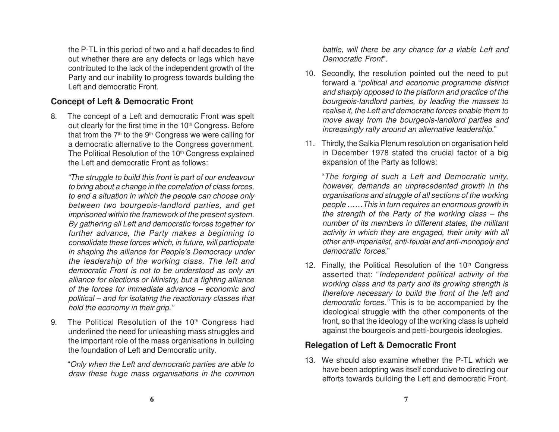the P-TL in this period of two and a half decades to find out whether there are any defects or lags which have contributed to the lack of the independent growth of the Party and our inability to progress towards building the Left and democratic Front.

#### **Concept of Left & Democratic Front**

8. The concept of a Left and democratic Front was spelt out clearly for the first time in the 10<sup>th</sup> Congress. Before that from the  $7<sup>th</sup>$  to the  $9<sup>th</sup>$  Congress we were calling for a democratic alternative to the Congress government. The Political Resolution of the 10<sup>th</sup> Congress explained the Left and democratic Front as follows:

"The struggle to build this front is part of our endeavour to bring about a change in the correlation of class forces, to end a situation in which the people can choose only between two bourgeois-landlord parties, and get imprisoned within the framework of the present system. By gathering all Left and democratic forces together for further advance, the Party makes a beginning to consolidate these forces which, in future, will participate in shaping the alliance for People's Democracy under the leadership of the working class. The left and democratic Front is not to be understood as only an alliance for elections or Ministry, but a fighting alliance of the forces for immediate advance – economic and political – and for isolating the reactionary classes that hold the economy in their grip."

9. The Political Resolution of the 10<sup>th</sup> Congress had underlined the need for unleashing mass struggles and the important role of the mass organisations in building the foundation of Left and Democratic unity.

"Only when the Left and democratic parties are able to draw these huge mass organisations in the common battle, will there be any chance for a viable Left and Democratic Front".

- 10. Secondly, the resolution pointed out the need to put forward a "political and economic programme distinct and sharply opposed to the platform and practice of the bourgeois-landlord parties, by leading the masses to realise it, the Left and democratic forces enable them to move away from the bourgeois-landlord parties and increasingly rally around an alternative leadership."
- 11. Thirdly, the Salkia Plenum resolution on organisation held in December 1978 stated the crucial factor of a big expansion of the Party as follows:

"The forging of such a Left and Democratic unity, however, demands an unprecedented growth in the organisations and struggle of all sections of the working people ……This in turn requires an enormous growth in the strength of the Party of the working class – the number of its members in different states, the militant activity in which they are engaged, their unity with all other anti-imperialist, anti-feudal and anti-monopoly and democratic forces."

12. Finally, the Political Resolution of the  $10<sup>th</sup>$  Congress asserted that: "Independent political activity of the working class and its party and its growing strength is therefore necessary to build the front of the left and democratic forces." This is to be accompanied by the ideological struggle with the other components of the front, so that the ideology of the working class is upheld against the bourgeois and petti-bourgeois ideologies.

#### **Relegation of Left & Democratic Front**

13. We should also examine whether the P-TL which we have been adopting was itself conducive to directing our efforts towards building the Left and democratic Front.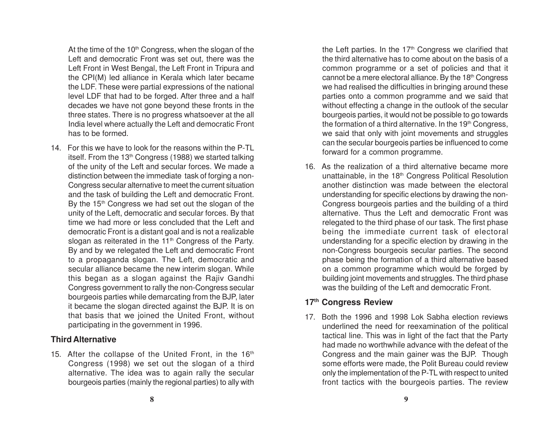At the time of the 10<sup>th</sup> Congress, when the slogan of the Left and democratic Front was set out, there was the Left Front in West Bengal, the Left Front in Tripura and the CPI(M) led alliance in Kerala which later became the LDF. These were partial expressions of the national level LDF that had to be forged. After three and a half decades we have not gone beyond these fronts in the three states. There is no progress whatsoever at the all India level where actually the Left and democratic Front has to be formed.

14. For this we have to look for the reasons within the P-TL itself. From the 13<sup>th</sup> Congress (1988) we started talking of the unity of the Left and secular forces. We made a distinction between the immediate task of forging a non-Congress secular alternative to meet the current situation and the task of building the Left and democratic Front. By the  $15<sup>th</sup>$  Congress we had set out the slogan of the unity of the Left, democratic and secular forces. By that time we had more or less concluded that the Left and democratic Front is a distant goal and is not a realizable slogan as reiterated in the 11<sup>th</sup> Congress of the Party. By and by we relegated the Left and democratic Front to a propaganda slogan. The Left, democratic and secular alliance became the new interim slogan. While this began as a slogan against the Rajiv Gandhi Congress government to rally the non-Congress secular bourgeois parties while demarcating from the BJP, later it became the slogan directed against the BJP. It is on that basis that we joined the United Front, without participating in the government in 1996.

#### **Third Alternative**

15. After the collapse of the United Front, in the  $16<sup>th</sup>$ Congress (1998) we set out the slogan of a third alternative. The idea was to again rally the secular bourgeois parties (mainly the regional parties) to ally with the Left parties. In the  $17<sup>th</sup>$  Congress we clarified that the third alternative has to come about on the basis of a common programme or a set of policies and that it cannot be a mere electoral alliance. By the 18th Congress we had realised the difficulties in bringing around these parties onto a common programme and we said that without effecting a change in the outlook of the secular bourgeois parties, it would not be possible to go towards the formation of a third alternative. In the  $19<sup>th</sup>$  Congress, we said that only with joint movements and struggles can the secular bourgeois parties be influenced to come forward for a common programme.

16. As the realization of a third alternative became more unattainable, in the 18<sup>th</sup> Congress Political Resolution another distinction was made between the electoral understanding for specific elections by drawing the non-Congress bourgeois parties and the building of a third alternative. Thus the Left and democratic Front was relegated to the third phase of our task. The first phase being the immediate current task of electoral understanding for a specific election by drawing in the non-Congress bourgeois secular parties. The second phase being the formation of a third alternative based on a common programme which would be forged by building joint movements and struggles. The third phase was the building of the Left and democratic Front.

# **17th Congress Review**

17. Both the 1996 and 1998 Lok Sabha election reviews underlined the need for reexamination of the political tactical line. This was in light of the fact that the Party had made no worthwhile advance with the defeat of the Congress and the main gainer was the BJP. Though some efforts were made, the Polit Bureau could review only the implementation of the P-TL with respect to united front tactics with the bourgeois parties. The review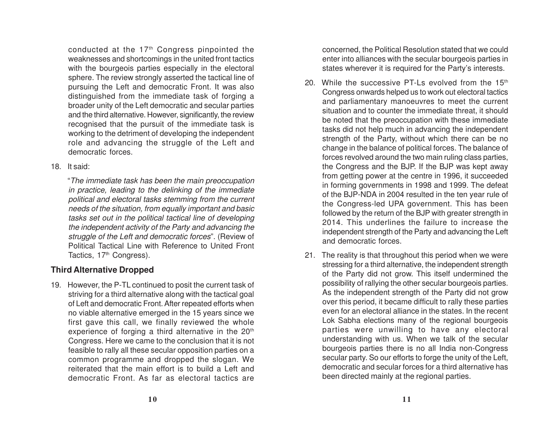conducted at the 17th Congress pinpointed the weaknesses and shortcomings in the united front tactics with the bourgeois parties especially in the electoral sphere. The review strongly asserted the tactical line of pursuing the Left and democratic Front. It was also distinguished from the immediate task of forging a broader unity of the Left democratic and secular parties and the third alternative. However, significantly, the review recognised that the pursuit of the immediate task is working to the detriment of developing the independent role and advancing the struggle of the Left and democratic forces.

18. It said:

"The immediate task has been the main preoccupation in practice, leading to the delinking of the immediate political and electoral tasks stemming from the current needs of the situation, from equally important and basic tasks set out in the political tactical line of developing the independent activity of the Party and advancing the struggle of the Left and democratic forces". (Review of Political Tactical Line with Reference to United Front Tactics, 17<sup>th</sup> Congress).

# **Third Alternative Dropped**

19. However, the P-TL continued to posit the current task of striving for a third alternative along with the tactical goal of Left and democratic Front. After repeated efforts when no viable alternative emerged in the 15 years since we first gave this call, we finally reviewed the whole experience of forging a third alternative in the 20<sup>th</sup> Congress. Here we came to the conclusion that it is not feasible to rally all these secular opposition parties on a common programme and dropped the slogan. We reiterated that the main effort is to build a Left and democratic Front. As far as electoral tactics are concerned, the Political Resolution stated that we could enter into alliances with the secular bourgeois parties in states wherever it is required for the Party's interests.

- 20. While the successive PT-Ls evolved from the  $15<sup>th</sup>$ Congress onwards helped us to work out electoral tactics and parliamentary manoeuvres to meet the current situation and to counter the immediate threat, it should be noted that the preoccupation with these immediate tasks did not help much in advancing the independent strength of the Party, without which there can be no change in the balance of political forces. The balance of forces revolved around the two main ruling class parties, the Congress and the BJP. If the BJP was kept away from getting power at the centre in 1996, it succeeded in forming governments in 1998 and 1999. The defeat of the BJP-NDA in 2004 resulted in the ten year rule of the Congress-led UP A government. This has been followed by the return of the BJP with greater strength in 2014. This underlines the failure to increase the independent strength of the Party and advancing the Left and democratic forces.
- 21. The reality is that throughout this period when we were stressing for a third alternative, the independent strength of the Party did not grow. This itself undermined the possibility of rallying the other secular bourgeois parties. As the independent strength of the Party did not grow over this period, it became difficult to rally these parties even for an electoral alliance in the states. In the recent Lok Sabha elections many of the regional bourgeois parties were unwilling to have any electoral understanding with us. When we talk of the secular bourgeois parties there is no all India non-Congress secular party. So our efforts to forge the unity of the Left, democratic and secular forces for a third alternative has been directed mainly at the regional parties.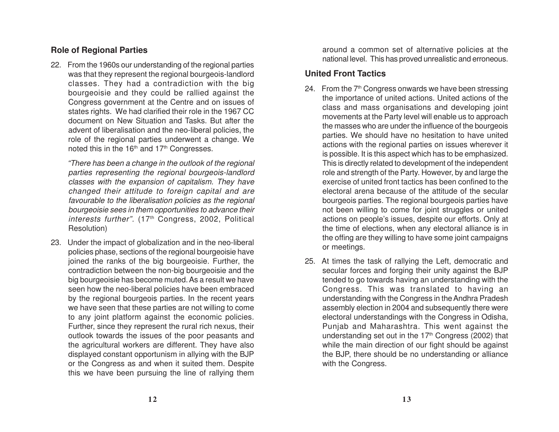#### **Role of Regional Parties**

22. From the 1960s our understanding of the regional parties was that they represent the regional bourgeois-landlord classes. They had a contradiction with the big bourgeoisie and they could be rallied against the Congress government at the Centre and on issues of states rights. We had clarified their role in the 1967 CC document on New Situation and Tasks. But after the advent of liberalisation and the neo-liberal policies, the role of the regional parties underwent a change. We noted this in the 16<sup>th</sup> and 17<sup>th</sup> Congresses.

"There has been a change in the outlook of the regional parties representing the regional bourgeois-landlord classes with the expansion of capitalism. They have changed their attitude to foreign capital and are favourable to the liberalisation policies as the regional bourgeoisie sees in them opportunities to advance their interests further".  $(17<sup>th</sup>$  Congress, 2002, Political Resolution)

23. Under the impact of globalization and in the neo-liberal policies phase, sections of the regional bourgeoisie have joined the ranks of the big bourgeoisie. Further, the contradiction between the non-big bourgeoisie and the big bourgeoisie has become muted. As a result we have seen how the neo-liberal policies have been embraced by the regional bourgeois parties. In the recent years we have seen that these parties are not willing to come to any joint platform against the economic policies. Further, since they represent the rural rich nexus, their outlook towards the issues of the poor peasants and the agricultural workers are different. They have also displayed constant opportunism in allying with the BJP or the Congress as and when it suited them. Despite this we have been pursuing the line of rallying them around a common set of alternative policies at the national level. This has proved unrealistic and erroneous.

#### **United Front Tactics**

- 24. From the  $7<sup>th</sup>$  Congress onwards we have been stressing the importance of united actions. United actions of the class and mass organisations and developing joint movements at the Party level will enable us to approach the masses who are under the influence of the bourgeois parties. We should have no hesitation to have united actions with the regional parties on issues wherever it is possible. It is this aspect which has to be emphasized. This is directly related to development of the independent role and strength of the Party. However, by and large the exercise of united front tactics has been confined to the electoral arena because of the attitude of the secular bourgeois parties. The regional bourgeois parties have not been willing to come for joint struggles or united actions on people's issues, despite our efforts. Only at the time of elections, when any electoral alliance is in the offing are they willing to have some joint campaigns or meetings.
- 25. At times the task of rallying the Left, democratic and secular forces and forging their unity against the BJP tended to go towards having an understanding with the Congress. This was translated to having an understanding with the Congress in the Andhra Pradesh assembly election in 2004 and subsequently there were electoral understandings with the Congress in Odisha, Punjab and Maharashtra. This went against the understanding set out in the  $17<sup>th</sup>$  Congress (2002) that while the main direction of our fight should be against the BJP, there should be no understanding or alliance with the Congress.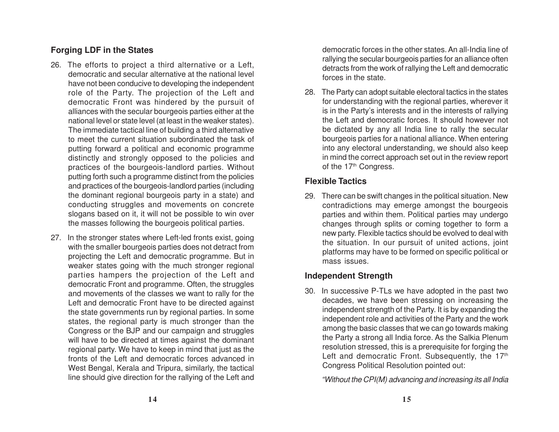# **Forging LDF in the States**

- 26. The efforts to project a third alternative or a Left, democratic and secular alternative at the national level have not been conducive to developing the independent role of the Party. The projection of the Left and democratic Front was hindered by the pursuit of alliances with the secular bourgeois parties either at the national level or state level (at least in the weaker states). The immediate tactical line of building a third alternative to meet the current situation subordinated the task of putting forward a political and economic programme distinctly and strongly opposed to the policies and practices of the bourgeois-landlord parties. Without putting forth such a programme distinct from the policies and practices of the bourgeois-landlord parties (including the dominant regional bourgeois party in a state) and conducting struggles and movements on concrete slogans based on it, it will not be possible to win over the masses following the bourgeois political parties.
- 27. In the stronger states where Left-led fronts exist, going with the smaller bourgeois parties does not detract from projecting the Left and democratic programme. But in weaker states going with the much stronger regional parties hampers the projection of the Left and democratic Front and programme. Often, the struggles and movements of the classes we want to rally for the Left and democratic Front have to be directed against the state governments run by regional parties. In some states, the regional party is much stronger than the Congress or the BJP and our campaign and struggles will have to be directed at times against the dominant regional party. We have to keep in mind that just as the fronts of the Left and democratic forces advanced in West Bengal, Kerala and Tripura, similarly, the tactical line should give direction for the rallying of the Left and

democratic forces in the other states. An all-India line of rallying the secular bourgeois parties for an alliance often detracts from the work of rallying the Left and democratic forces in the state.

28. The Party can adopt suitable electoral tactics in the states for understanding with the regional parties, wherever it is in the Party's interests and in the interests of rallying the Left and democratic forces. It should however not be dictated by any all India line to rally the secular bourgeois parties for a national alliance. When entering into any electoral understanding, we should also keep in mind the correct approach set out in the review report of the 17<sup>th</sup> Congress.

#### **Flexible Tactics**

29. There can be swift changes in the political situation. New contradictions may emerge amongst the bourgeois parties and within them. Political parties may undergo changes through splits or coming together to form a new party. Flexible tactics should be evolved to deal with the situation. In our pursuit of united actions, joint platforms may have to be formed on specific political or mass issues.

# **Independent Strength**

30. In successive P-TLs we have adopted in the past two decades, we have been stressing on increasing the independent strength of the Party. It is by expanding the independent role and activities of the Party and the work among the basic classes that we can go towards making the Party a strong all India force. As the Salkia Plenum resolution stressed, this is a prerequisite for forging the Left and democratic Front. Subsequently, the 17<sup>th</sup> Congress Political Resolution pointed out:

"Without the CPI(M) advancing and increasing its all India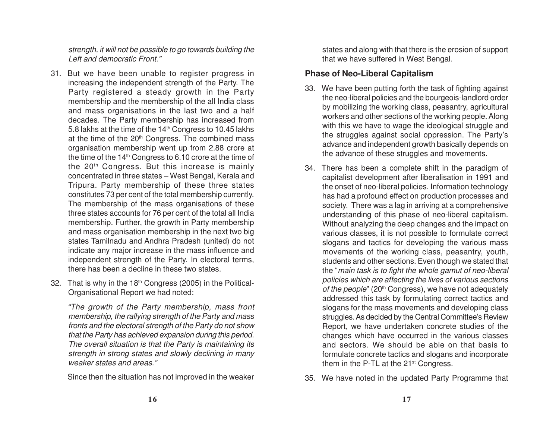strength, it will not be possible to go towards building the Left and democratic Front."

- 31. But we have been unable to register progress in increasing the independent strength of the Party. The Party registered a steady growth in the Party membership and the membership of the all India class and mass organisations in the last two and a half decades. The Party membership has increased from 5.8 lakhs at the time of the 14<sup>th</sup> Congress to 10.45 lakhs at the time of the  $20<sup>th</sup>$  Congress. The combined mass organisation membership went up from 2.88 crore at the time of the 14th Congress to 6.10 crore at the time of the 20th Congress. But this increase is mainly concentrated in three states – West Bengal, Kerala and Tripura. Party membership of these three states constitutes 73 per cent of the total membership currently. The membership of the mass organisations of these three states accounts for 76 per cent of the total all India membership. Further, the growth in Party membership and mass organisation membership in the next two big states Tamilnadu and Andhra Pradesh (united) do not indicate any major increase in the mass influence and independent strength of the Party. In electoral terms, there has been a decline in these two states.
- 32. That is why in the  $18<sup>th</sup>$  Congress (2005) in the Political-Organisational Report we had noted:

"The growth of the Party membership, mass front membership, the rallying strength of the Party and mass fronts and the electoral strength of the Party do not show that the Party has achieved expansion during this period. The overall situation is that the Party is maintaining its strength in strong states and slowly declining in many weaker states and areas."

Since then the situation has not improved in the weaker

states and along with that there is the erosion of support that we have suffered in West Bengal.

#### **Phase of Neo-Liberal Capitalism**

- 33. We have been putting forth the task of fighting against the neo-liberal policies and the bourgeois-landlord order by mobilizing the working class, peasantry, agricultural workers and other sections of the working people. Along with this we have to wage the ideological struggle and the struggles against social oppression. The Party's advance and independent growth basically depends on the advance of these struggles and movements.
- 34. There has been a complete shift in the paradigm of capitalist development after liberalisation in 1991 and the onset of neo-liberal policies. Information technology has had a profound effect on production processes and society. There was a lag in arriving at a comprehensive understanding of this phase of neo-liberal capitalism. Without analyzing the deep changes and the impact on various classes, it is not possible to formulate correct slogans and tactics for developing the various mass movements of the working class, peasantry, youth, students and other sections. Even though we stated that the "main task is to fight the whole gamut of neo-liberal policies which are affecting the lives of various sections of the people" (20<sup>th</sup> Congress), we have not adequately addressed this task by formulating correct tactics and slogans for the mass movements and developing class struggles. As decided by the Central Committee's Review Report, we have undertaken concrete studies of the changes which have occurred in the various classes and sectors. We should be able on that basis to formulate concrete tactics and slogans and incorporate them in the P-TL at the 21<sup>st</sup> Congress.
- 35. We have noted in the updated Party Programme that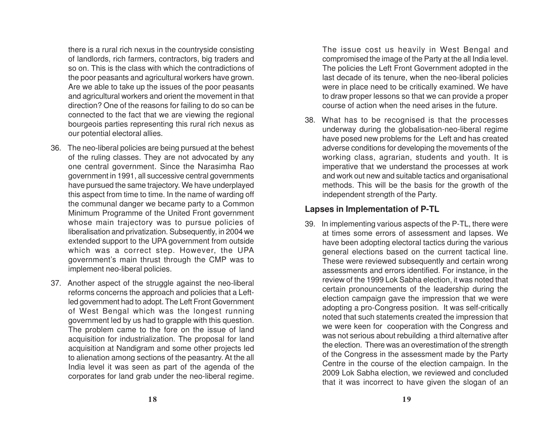there is a rural rich nexus in the countryside consisting of landlords, rich farmers, contractors, big traders and so on. This is the class with which the contradictions of the poor peasants and agricultural workers have grown. Are we able to take up the issues of the poor peasants and agricultural workers and orient the movement in that direction? One of the reasons for failing to do so can be connected to the fact that we are viewing the regional bourgeois parties representing this rural rich nexus as our potential electoral allies.

- 36. The neo-liberal policies are being pursued at the behest of the ruling classes. They are not advocated by any one central government. Since the Narasimha Rao government in 1991, all successive central governments have pursued the same trajectory. We have underplayed this aspect from time to time. In the name of warding off the communal danger we became party to a Common Minimum Programme of the United Front government whose main trajectory was to pursue policies of liberalisation and privatization. Subsequently, in 2004 we extended support to the UP A government from outside which was a correct step. However, the UP A government's main thrust through the CMP was to implement neo-liberal policies.
- 37. Another aspect of the struggle against the neo-liberal reforms concerns the approach and policies that a Leftled government had to adopt. The Left Front Government of West Bengal which was the longest running government led by us had to grapple with this question. The problem came to the fore on the issue of land acquisition for industrialization. The proposal for land acquisition at Nandigram and some other projects led to alienation among sections of the peasantry. At the all India level it was seen as part of the agenda of the corporates for land grab under the neo-liberal regime.

The issue cost us heavily in West Bengal and compromised the image of the Party at the all India level. The policies the Left Front Government adopted in the last decade of its tenure, when the neo-liberal policies were in place need to be critically examined. We have to draw proper lessons so that we can provide a proper course of action when the need arises in the future.

38. What has to be recognised is that the processes underway during the globalisation-neo-liberal regime have posed new problems for the Left and has created adverse conditions for developing the movements of the working class, agrarian, students and youth. It is imperative that we understand the processes at work and work out new and suitable tactics and organisational methods. This will be the basis for the growth of the independent strength of the Party.

#### **Lapses in Implementation of P-TL**

39. In implementing various aspects of the P-TL, there were at times some errors of assessment and lapses. We have been adopting electoral tactics during the various general elections based on the current tactical line. These were reviewed subsequently and certain wrong assessments and errors identified. For instance, in the review of the 1999 Lok Sabha election, it was noted that certain pronouncements of the leadership during the election campaign gave the impression that we were adopting a pro-Congress position. It was self-critically noted that such statements created the impression that we were keen for cooperation with the Congress and was not serious about rebuilding a third alternative after the election. There was an overestimation of the strength of the Congress in the assessment made by the Party Centre in the course of the election campaign. In the 2009 Lok Sabha election, we reviewed and concluded that it was incorrect to have given the slogan of an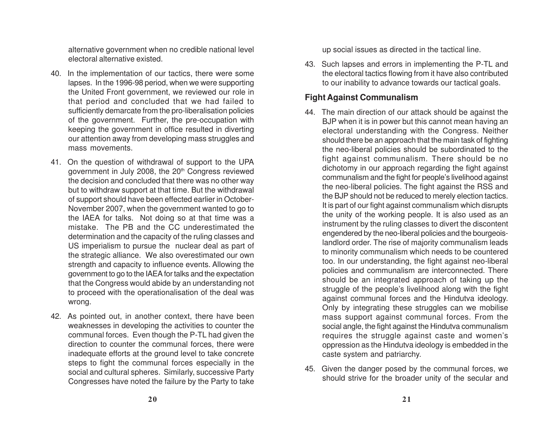alternative government when no credible national level electoral alternative existed.

- 40. In the implementation of our tactics, there were some lapses. In the 1996-98 period, when we were supporting the United Front government, we reviewed our role in that period and concluded that we had failed to sufficiently demarcate from the pro-liberalisation policies of the government. Further, the pre-occupation with keeping the government in office resulted in diverting our attention away from developing mass struggles and mass movements.
- 41. On the question of withdrawal of support to the UPA government in July 2008, the 20<sup>th</sup> Congress reviewed the decision and concluded that there was no other way but to withdraw support at that time. But the withdrawal of support should have been effected earlier in October-November 2007, when the government wanted to go to the IAEA for talks. Not doing so at that time was a mistake. The PB and the CC underestimated the determination and the capacity of the ruling classes and US imperialism to pursue the nuclear deal as part of the strategic alliance. We also overestimated our own strength and capacity to influence events. Allowing the government to go to the IAEA for talks and the expectation that the Congress would abide by an understanding not to proceed with the operationalisation of the deal was wrong.
- 42. As pointed out, in another context, there have been weaknesses in developing the activities to counter the communal forces. Even though the P-TL had given the direction to counter the communal forces, there were inadequate efforts at the ground level to take concrete steps to fight the communal forces especially in the social and cultural spheres. Similarly, successive Party Congresses have noted the failure by the Party to take

up social issues as directed in the tactical line.

43. Such lapses and errors in implementing the P-TL and the electoral tactics flowing from it have also contributed to our inability to advance towards our tactical goals.

#### **Fight Against Communalism**

- 44. The main direction of our attack should be against the BJP when it is in power but this cannot mean having an electoral understanding with the Congress. Neither should there be an approach that the main task of fighting the neo-liberal policies should be subordinated to the fight against communalism. There should be no dichotomy in our approach regarding the fight against communalism and the fight for people's livelihood against the neo-liberal policies. The fight against the RSS and the BJP should not be reduced to merely election tactics. It is part of our fight against communalism which disrupts the unity of the working people. It is also used as an instrument by the ruling classes to divert the discontent engendered by the neo-liberal policies and the bourgeoislandlord order. The rise of majority communalism leads to minority communalism which needs to be countered too. In our understanding, the fight against neo-liberal policies and communalism are interconnected. There should be an integrated approach of taking up the struggle of the people's livelihood along with the fight against communal forces and the Hindutva ideology. Only by integrating these struggles can we mobilise mass support against communal forces. From the social angle, the fight against the Hindutva communalism requires the struggle against caste and women's oppression as the Hindutva ideology is embedded in the caste system and patriarchy.
- 45. Given the danger posed by the communal forces, we should strive for the broader unity of the secular and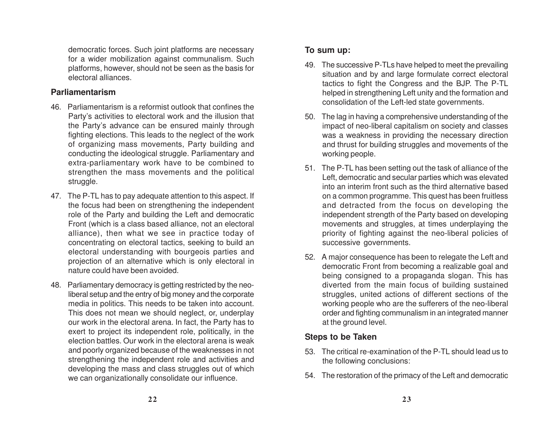democratic forces. Such joint platforms are necessary for a wider mobilization against communalism. Such platforms, however, should not be seen as the basis for electoral alliances.

#### **Parliamentarism**

- 46. Parliamentarism is a reformist outlook that confines the Party's activities to electoral work and the illusion that the Party's advance can be ensured mainly through fighting elections. This leads to the neglect of the work of organizing mass movements, Party building and conducting the ideological struggle. Parliamentary and extra-parliamentary work have to be combined to strengthen the mass movements and the political struggle.
- 47. The P-TL has to pay adequate attention to this aspect. If the focus had been on strengthening the independent role of the Party and building the Left and democratic Front (which is a class based alliance, not an electoral alliance), then what we see in practice today of concentrating on electoral tactics, seeking to build an electoral understanding with bourgeois parties and projection of an alternative which is only electoral in nature could have been avoided.
- 48. Parliamentary democracy is getting restricted by the neoliberal setup and the entry of big money and the corporate media in politics. This needs to be taken into account. This does not mean we should neglect, or, underplay our work in the electoral arena. In fact, the Party has to exert to project its independent role, politically, in the election battles. Our work in the electoral arena is weak and poorly organized because of the weaknesses in not strengthening the independent role and activities and developing the mass and class struggles out of which we can organizationally consolidate our influence.

#### **To sum up:**

- 49. The successive P-TLs have helped to meet the prevailing situation and by and large formulate correct electoral tactics to fight the Congress and the BJP. The P-TL helped in strengthening Left unity and the formation and consolidation of the Left-led state governments.
- 50. The lag in having a comprehensive understanding of the impact of neo-liberal capitalism on society and classes was a weakness in providing the necessary direction and thrust for building struggles and movements of the working people.
- 51. The P-TL has been setting out the task of alliance of the Left, democratic and secular parties which was elevated into an interim front such as the third alternative based on a common programme. This quest has been fruitless and detracted from the focus on developing the independent strength of the Party based on developing movements and struggles, at times underplaying the priority of fighting against the neo-liberal policies of successive governments.
- 52. A major consequence has been to relegate the Left and democratic Front from becoming a realizable goal and being consigned to a propaganda slogan. This has diverted from the main focus of building sustained struggles, united actions of different sections of the working people who are the sufferers of the neo-liberal order and fighting communalism in an integrated manner at the ground level.

#### **Steps to be Taken**

- 53. The critical re-examination of the P-TL should lead us to the following conclusions:
- 54. The restoration of the primacy of the Left and democratic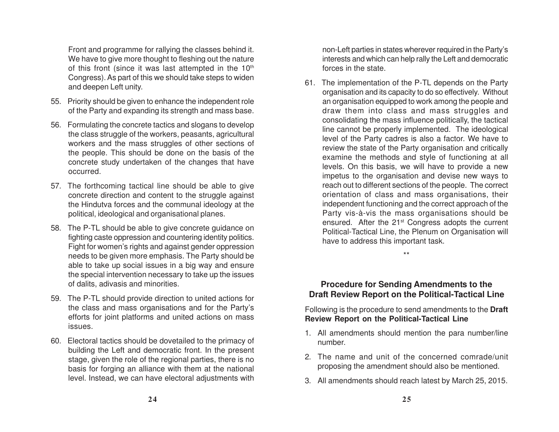Front and programme for rallying the classes behind it. We have to give more thought to fleshing out the nature of this front (since it was last attempted in the 10<sup>th</sup> Congress). As part of this we should take steps to widen and deepen Left unity.

- 55. Priority should be given to enhance the independent role of the Party and expanding its strength and mass base.
- 56. Formulating the concrete tactics and slogans to develop the class struggle of the workers, peasants, agricultural workers and the mass struggles of other sections of the people. This should be done on the basis of the concrete study undertaken of the changes that have occurred.
- 57. The forthcoming tactical line should be able to give concrete direction and content to the struggle against the Hindutva forces and the communal ideology at the political, ideological and organisational planes.
- 58. The P-TL should be able to give concrete guidance on fighting caste oppression and countering identity politics. Fight for women's rights and against gender oppression needs to be given more emphasis. The Party should be able to take up social issues in a big way and ensure the special intervention necessary to take up the issues of dalits, adivasis and minorities.
- 59. The P-TL should provide direction to united actions for the class and mass organisations and for the Party's efforts for joint platforms and united actions on mass issues.
- 60. Electoral tactics should be dovetailed to the primacy of building the Left and democratic front. In the present stage, given the role of the regional parties, there is no basis for forging an alliance with them at the national level. Instead, we can have electoral adjustments with

non-Left parties in states wherever required in the Party's interests and which can help rally the Left and democratic forces in the state.

61. The implementation of the P-TL depends on the Party organisation and its capacity to do so effectively. Without an organisation equipped to work among the people and draw them into class and mass struggles and consolidating the mass influence politically, the tactical line cannot be properly implemented. The ideological level of the Party cadres is also a factor. We have to review the state of the Party organisation and critically examine the methods and style of functioning at all levels. On this basis, we will have to provide a new impetus to the organisation and devise new ways to reach out to different sections of the people. The correct orientation of class and mass organisations, their independent functioning and the correct approach of the Party vis-à-vis the mass organisations should be ensured. After the 21<sup>st</sup> Congress adopts the current Political-Tactical Line, the Plenum on Organisation will have to address this important task.

\*\*

#### **Procedure for Sending Amendments to the Draft Review Report on the Political-Tactical Line**

Following is the procedure to send amendments to the **Draft Review Report on the Political-Tactical Line**

- 1. All amendments should mention the para number/line number.
- 2. The name and unit of the concerned comrade/unit proposing the amendment should also be mentioned.
- 3. All amendments should reach latest by March 25, 2015.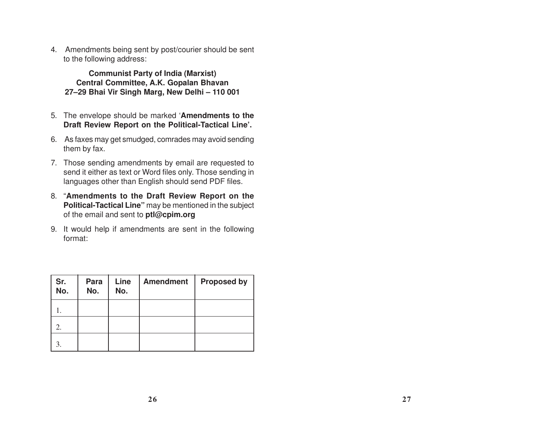4. Amendments being sent by post/courier should be sent to the following address:

**Communist Party of India (Marxist) Central Committee, A.K. Gopalan Bhavan 27–29 Bhai Vir Singh Marg, New Delhi – 110 001**

- 5. The envelope should be marked '**Amendments to the Draft Review Report on the Political-Tactical Line'.**
- 6. As faxes may get smudged, comrades may avoid sending them by fax.
- 7. Those sending amendments by email are requested to send it either as text or Word files only. Those sending in languages other than English should send PDF files.
- 8. "**Amendments to the Draft Review Report on the Political-Tactical Line"** may be mentioned in the subject of the email and sent to **ptl@cpim.org**
- 9. It would help if amendments are sent in the following format:

| Sr.<br>No. | Para<br>No. | Line<br>No. | <b>Amendment</b> | <b>Proposed by</b> |
|------------|-------------|-------------|------------------|--------------------|
|            |             |             |                  |                    |
| 2.         |             |             |                  |                    |
| 3.         |             |             |                  |                    |